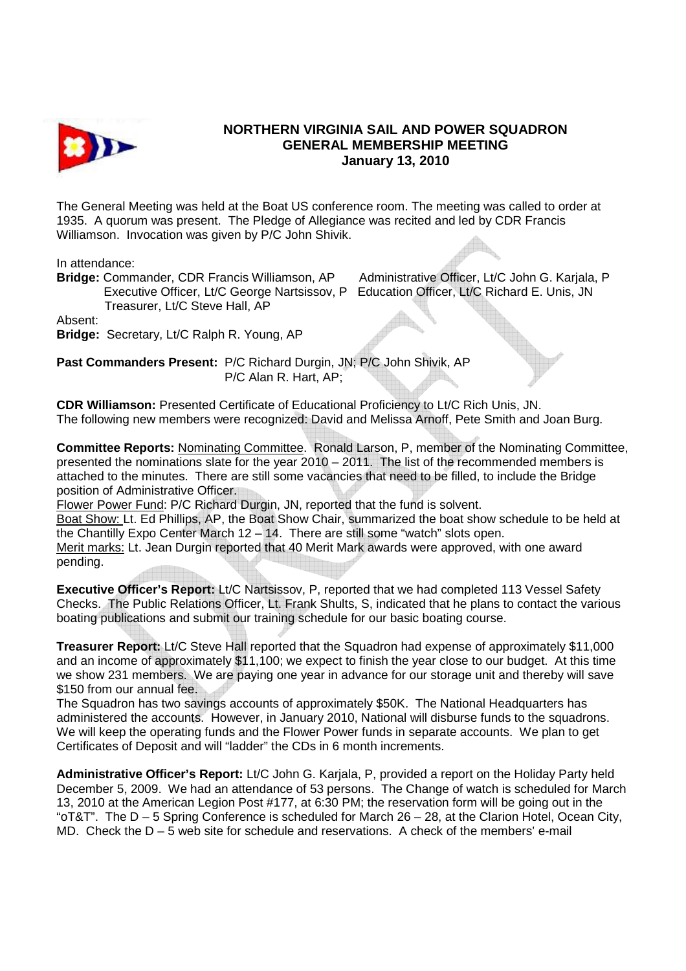

## **NORTHERN VIRGINIA SAIL AND POWER SQUADRON GENERAL MEMBERSHIP MEETING January 13, 2010**

The General Meeting was held at the Boat US conference room. The meeting was called to order at 1935. A quorum was present. The Pledge of Allegiance was recited and led by CDR Francis Williamson. Invocation was given by P/C John Shivik.

In attendance:

**Bridge:** Commander, CDR Francis Williamson, AP Administrative Officer, Lt/C John G. Karjala, P Executive Officer, Lt/C George Nartsissov, P Education Officer, Lt/C Richard E. Unis, JN Treasurer, Lt/C Steve Hall, AP

Absent:

**Bridge:** Secretary, Lt/C Ralph R. Young, AP

**Past Commanders Present:** P/C Richard Durgin, JN; P/C John Shivik, AP P/C Alan R. Hart, AP;

**CDR Williamson:** Presented Certificate of Educational Proficiency to Lt/C Rich Unis, JN. The following new members were recognized: David and Melissa Arnoff, Pete Smith and Joan Burg.

**Committee Reports:** Nominating Committee. Ronald Larson, P, member of the Nominating Committee, presented the nominations slate for the year 2010 – 2011. The list of the recommended members is attached to the minutes. There are still some vacancies that need to be filled, to include the Bridge position of Administrative Officer.

Flower Power Fund: P/C Richard Durgin, JN, reported that the fund is solvent.

Boat Show: Lt. Ed Phillips, AP, the Boat Show Chair, summarized the boat show schedule to be held at the Chantilly Expo Center March 12 – 14. There are still some "watch" slots open. Merit marks: Lt. Jean Durgin reported that 40 Merit Mark awards were approved, with one award pending.

**Executive Officer's Report:** Lt/C Nartsissov, P, reported that we had completed 113 Vessel Safety Checks. The Public Relations Officer, Lt. Frank Shults, S, indicated that he plans to contact the various boating publications and submit our training schedule for our basic boating course.

**Treasurer Report:** Lt/C Steve Hall reported that the Squadron had expense of approximately \$11,000 and an income of approximately \$11,100; we expect to finish the year close to our budget. At this time we show 231 members. We are paying one year in advance for our storage unit and thereby will save \$150 from our annual fee.

The Squadron has two savings accounts of approximately \$50K. The National Headquarters has administered the accounts. However, in January 2010, National will disburse funds to the squadrons. We will keep the operating funds and the Flower Power funds in separate accounts. We plan to get Certificates of Deposit and will "ladder" the CDs in 6 month increments.

**Administrative Officer's Report:** Lt/C John G. Karjala, P, provided a report on the Holiday Party held December 5, 2009. We had an attendance of 53 persons. The Change of watch is scheduled for March 13, 2010 at the American Legion Post #177, at 6:30 PM; the reservation form will be going out in the "oT&T". The D – 5 Spring Conference is scheduled for March 26 – 28, at the Clarion Hotel, Ocean City, MD. Check the D – 5 web site for schedule and reservations. A check of the members' e-mail